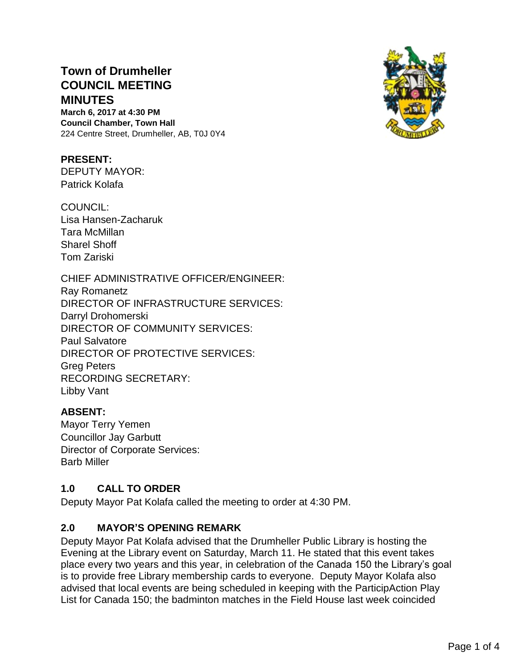# **Town of Drumheller COUNCIL MEETING MINUTES**

**March 6, 2017 at 4:30 PM Council Chamber, Town Hall** 224 Centre Street, Drumheller, AB, T0J 0Y4

#### **PRESENT:**

DEPUTY MAYOR: Patrick Kolafa

COUNCIL: Lisa Hansen-Zacharuk Tara McMillan Sharel Shoff Tom Zariski

CHIEF ADMINISTRATIVE OFFICER/ENGINEER: Ray Romanetz DIRECTOR OF INFRASTRUCTURE SERVICES: Darryl Drohomerski DIRECTOR OF COMMUNITY SERVICES: Paul Salvatore DIRECTOR OF PROTECTIVE SERVICES: Greg Peters RECORDING SECRETARY: Libby Vant

#### **ABSENT:**

Mayor Terry Yemen Councillor Jay Garbutt Director of Corporate Services: Barb Miller

#### **1.0 CALL TO ORDER**

Deputy Mayor Pat Kolafa called the meeting to order at 4:30 PM.

#### **2.0 MAYOR'S OPENING REMARK**

Deputy Mayor Pat Kolafa advised that the Drumheller Public Library is hosting the Evening at the Library event on Saturday, March 11. He stated that this event takes place every two years and this year, in celebration of the Canada 150 the Library's goal is to provide free Library membership cards to everyone. Deputy Mayor Kolafa also advised that local events are being scheduled in keeping with the ParticipAction Play List for Canada 150; the badminton matches in the Field House last week coincided

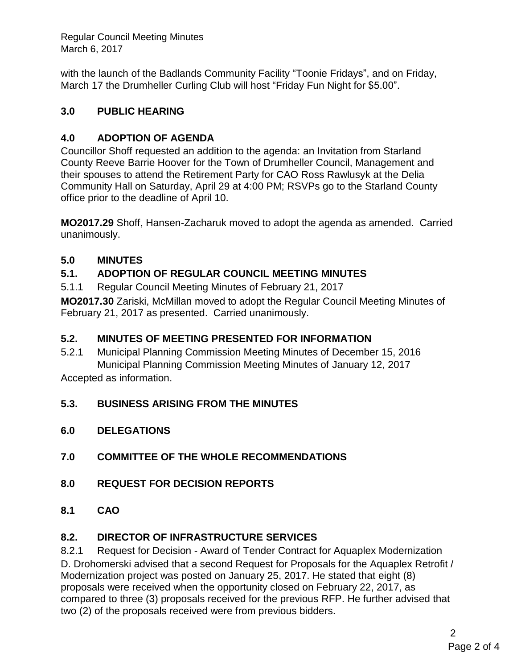Regular Council Meeting Minutes March 6, 2017

with the launch of the Badlands Community Facility "Toonie Fridays", and on Friday, March 17 the Drumheller Curling Club will host "Friday Fun Night for \$5.00".

## **3.0 PUBLIC HEARING**

## **4.0 ADOPTION OF AGENDA**

Councillor Shoff requested an addition to the agenda: an Invitation from Starland County Reeve Barrie Hoover for the Town of Drumheller Council, Management and their spouses to attend the Retirement Party for CAO Ross Rawlusyk at the Delia Community Hall on Saturday, April 29 at 4:00 PM; RSVPs go to the Starland County office prior to the deadline of April 10.

**MO2017.29** Shoff, Hansen-Zacharuk moved to adopt the agenda as amended. Carried unanimously.

## **5.0 MINUTES**

## **5.1. ADOPTION OF REGULAR COUNCIL MEETING MINUTES**

5.1.1 Regular Council Meeting Minutes of February 21, 2017

**MO2017.30** Zariski, McMillan moved to adopt the Regular Council Meeting Minutes of February 21, 2017 as presented. Carried unanimously.

## **5.2. MINUTES OF MEETING PRESENTED FOR INFORMATION**

5.2.1 Municipal Planning Commission Meeting Minutes of December 15, 2016 Municipal Planning Commission Meeting Minutes of January 12, 2017

Accepted as information.

## **5.3. BUSINESS ARISING FROM THE MINUTES**

- **6.0 DELEGATIONS**
- **7.0 COMMITTEE OF THE WHOLE RECOMMENDATIONS**
- **8.0 REQUEST FOR DECISION REPORTS**
- **8.1 CAO**

## **8.2. DIRECTOR OF INFRASTRUCTURE SERVICES**

8.2.1 Request for Decision - Award of Tender Contract for Aquaplex Modernization D. Drohomerski advised that a second Request for Proposals for the Aquaplex Retrofit / Modernization project was posted on January 25, 2017. He stated that eight (8) proposals were received when the opportunity closed on February 22, 2017, as compared to three (3) proposals received for the previous RFP. He further advised that two (2) of the proposals received were from previous bidders.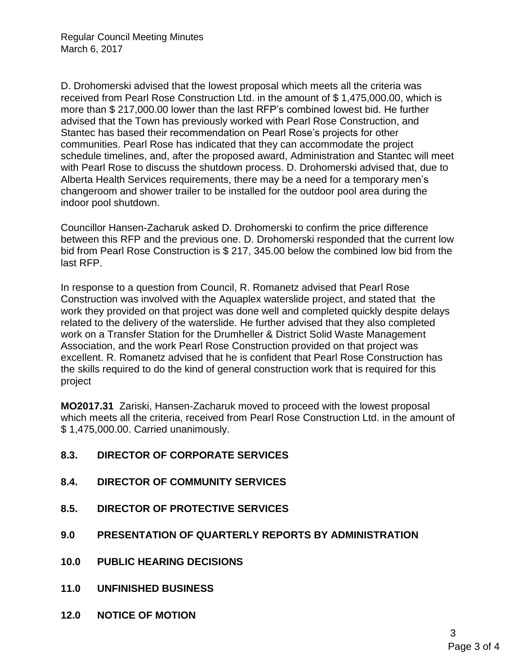D. Drohomerski advised that the lowest proposal which meets all the criteria was received from Pearl Rose Construction Ltd. in the amount of \$ 1,475,000.00, which is more than \$ 217,000.00 lower than the last RFP's combined lowest bid. He further advised that the Town has previously worked with Pearl Rose Construction, and Stantec has based their recommendation on Pearl Rose's projects for other communities. Pearl Rose has indicated that they can accommodate the project schedule timelines, and, after the proposed award, Administration and Stantec will meet with Pearl Rose to discuss the shutdown process. D. Drohomerski advised that, due to Alberta Health Services requirements, there may be a need for a temporary men's changeroom and shower trailer to be installed for the outdoor pool area during the indoor pool shutdown.

Councillor Hansen-Zacharuk asked D. Drohomerski to confirm the price difference between this RFP and the previous one. D. Drohomerski responded that the current low bid from Pearl Rose Construction is \$ 217, 345.00 below the combined low bid from the last RFP.

In response to a question from Council, R. Romanetz advised that Pearl Rose Construction was involved with the Aquaplex waterslide project, and stated that the work they provided on that project was done well and completed quickly despite delays related to the delivery of the waterslide. He further advised that they also completed work on a Transfer Station for the Drumheller & District Solid Waste Management Association, and the work Pearl Rose Construction provided on that project was excellent. R. Romanetz advised that he is confident that Pearl Rose Construction has the skills required to do the kind of general construction work that is required for this project

**MO2017.31** Zariski, Hansen-Zacharuk moved to proceed with the lowest proposal which meets all the criteria, received from Pearl Rose Construction Ltd. in the amount of \$ 1,475,000.00. Carried unanimously.

- **8.3. DIRECTOR OF CORPORATE SERVICES**
- **8.4. DIRECTOR OF COMMUNITY SERVICES**
- **8.5. DIRECTOR OF PROTECTIVE SERVICES**
- **9.0 PRESENTATION OF QUARTERLY REPORTS BY ADMINISTRATION**
- **10.0 PUBLIC HEARING DECISIONS**
- **11.0 UNFINISHED BUSINESS**
- **12.0 NOTICE OF MOTION**